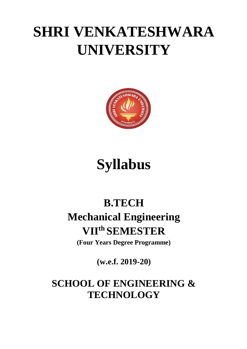## **SHRI VENKATESHWARA UNIVERSITY**



# **Syllabus**

### **B.TECH Mechanical Engineering VII th SEMESTER**

**(Four Years Degree Programme)**

**(w.e.f. 2019-20)**

### **SCHOOL OF ENGINEERING & TECHNOLOGY**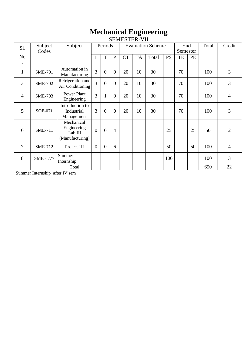|                             | <b>Mechanical Engineering</b>  |                                                         |                |                |                                                 |           |           |       |                 |    |       |        |                |
|-----------------------------|--------------------------------|---------------------------------------------------------|----------------|----------------|-------------------------------------------------|-----------|-----------|-------|-----------------|----|-------|--------|----------------|
| Sl.                         | Subject<br>Codes               | Subject                                                 | Periods        |                | <b>SEMESTER-VII</b><br><b>Evaluation Scheme</b> |           |           |       | End<br>Semester |    | Total | Credit |                |
| N <sub>o</sub><br>$\bullet$ |                                |                                                         | L              | $\mathbf T$    | ${\bf P}$                                       | <b>CT</b> | <b>TA</b> | Total | <b>PS</b>       | TE | PE    |        |                |
| $\mathbf{1}$                | <b>SME-701</b>                 | Automation in<br>Manufacturing                          | $\overline{3}$ | $\overline{0}$ | $\overline{0}$                                  | 20        | 10        | 30    |                 | 70 |       | 100    | 3              |
| 3                           | <b>SME-702</b>                 | Refrigeration and<br>Air Conditioning                   | $\overline{3}$ | $\overline{0}$ | $\mathbf{0}$                                    | 20        | 10        | 30    |                 | 70 |       | 100    | 3              |
| 4                           | <b>SME-703</b>                 | <b>Power Plant</b><br>Engineering                       | $\overline{3}$ | $\mathbf{1}$   | $\overline{0}$                                  | 20        | 10        | 30    |                 | 70 |       | 100    | $\overline{4}$ |
| 5                           | <b>SOE-071</b>                 | Introduction to<br>Industrial<br>Management             | 3              | $\overline{0}$ | $\Omega$                                        | 20        | 10        | 30    |                 | 70 |       | 100    | 3              |
| 6                           | <b>SME-711</b>                 | Mechanical<br>Engineering<br>Lab III<br>(Manufacturing) | $\overline{0}$ | $\overline{0}$ | $\overline{4}$                                  |           |           |       | 25              |    | 25    | 50     | $\overline{2}$ |
| 7                           | <b>SME-712</b>                 | Project-III                                             | $\overline{0}$ | $\overline{0}$ | 6                                               |           |           |       | 50              |    | 50    | 100    | $\overline{4}$ |
| 8                           | <b>SME - 777</b>               | Summer<br>Internship                                    |                |                |                                                 |           |           |       | 100             |    |       | 100    | 3              |
|                             |                                | Total                                                   |                |                |                                                 |           |           |       |                 |    |       | 650    | 22             |
|                             | Summer Internship after IV sem |                                                         |                |                |                                                 |           |           |       |                 |    |       |        |                |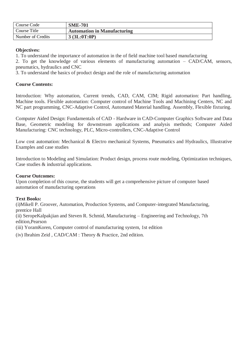| Course Code       | <b>SME-701</b>                     |
|-------------------|------------------------------------|
| Course Title      | <b>Automation in Manufacturing</b> |
| Number of Credits | 3(3L:0T:0P)                        |

1. To understand the importance of automation in the of field machine tool based manufacturing

2. To get the knowledge of various elements of manufacturing automation – CAD/CAM, sensors, pneumatics, hydraulics and CNC

3. To understand the basics of product design and the role of manufacturing automation

#### **Course Contents:**

Introduction: Why automation, Current trends, CAD, CAM, CIM; Rigid automation: Part handling, Machine tools. Flexible automation: Computer control of Machine Tools and Machining Centers, NC and NC part programming, CNC-Adaptive Control, Automated Material handling. Assembly, Flexible fixturing.

Computer Aided Design: Fundamentals of CAD - Hardware in CAD-Computer Graphics Software and Data Base, Geometric modeling for downstream applications and analysis methods; Computer Aided Manufacturing: CNC technology, PLC, Micro-controllers, CNC-Adaptive Control

Low cost automation: Mechanical & Electro mechanical Systems, Pneumatics and Hydraulics, Illustrative Examples and case studies

Introduction to Modeling and Simulation: Product design, process route modeling, Optimization techniques, Case studies & industrial applications.

#### **Course Outcomes:**

Upon completion of this course, the students will get a comprehensive picture of computer based automation of manufacturing operations

#### **Text Books:**

(i)Mikell P. Groover, Automation, Production Systems, and Computer-integrated Manufacturing, prentice Hall

(ii) SeropeKalpakjian and Steven R. Schmid, Manufacturing – Engineering and Technology, 7th edition,Pearson

(iii) YoramKoren, Computer control of manufacturing system, 1st edition

(iv) Ibrahim Zeid , CAD/CAM : Theory & Practice, 2nd edition.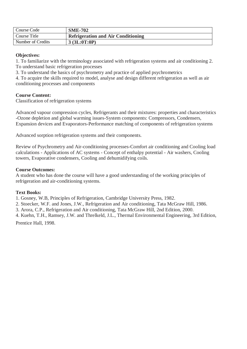| Course Code       | <b>SME-702</b>                            |
|-------------------|-------------------------------------------|
| Course Title      | <b>Refrigeration and Air Conditioning</b> |
| Number of Credits | 3 (3L:0T:0P)                              |

1. To familiarize with the terminology associated with refrigeration systems and air conditioning 2. To understand basic refrigeration processes

3. To understand the basics of psychrometry and practice of applied psychrometrics

4. To acquire the skills required to model, analyse and design different refrigeration as well as air conditioning processes and components

#### **Course Content:**

Classification of refrigeration systems

Advanced vapour compression cycles, Refrigerants and their mixtures: properties and characteristics -Ozone depletion and global warming issues-System components: Compressors, Condensers, Expansion devices and Evaporators-Performance matching of components of refrigeration systems

Advanced sorption refrigeration systems and their components.

Review of Psychrometry and Air-conditioning processes-Comfort air conditioning and Cooling load calculations - Applications of AC systems - Concept of enthalpy potential - Air washers, Cooling towers, Evaporative condensers, Cooling and dehumidifying coils.

#### **Course Outcomes:**

A student who has done the course will have a good understanding of the working principles of refrigeration and air-conditioning systems.

#### **Text Books:**

1. Gosney, W.B, Principles of Refrigeration, Cambridge University Press, 1982.

2. Stoecker, W.F. and Jones, J.W., Refrigeration and Air conditioning, Tata McGraw Hill, 1986.

3. Arora, C.P., Refrigeration and Air conditioning, Tata McGraw Hill, 2nd Edition, 2000.

4. Kuehn, T.H., Ramsey, J.W. and Threlkeld, J.L., Thermal Environmental Engineering, 3rd Edition, Prentice Hall, 1998.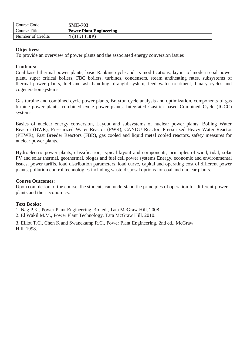| Course Code       | <b>SME-703</b>                 |
|-------------------|--------------------------------|
| Course Title      | <b>Power Plant Engineering</b> |
| Number of Credits | 4 (3L:1T:0P)                   |

To provide an overview of power plants and the associated energy conversion issues

#### **Contents:**

Coal based thermal power plants, basic Rankine cycle and its modifications, layout of modern coal power plant, super critical boilers, FBC boilers, turbines, condensers, steam andheating rates, subsystems of thermal power plants, fuel and ash handling, draught system, feed water treatment, binary cycles and cogeneration systems

Gas turbine and combined cycle power plants, Brayton cycle analysis and optimization, components of gas turbine power plants, combined cycle power plants, Integrated Gasifier based Combined Cycle (IGCC) systems.

Basics of nuclear energy conversion, Layout and subsystems of nuclear power plants, Boiling Water Reactor (BWR), Pressurized Water Reactor (PWR), CANDU Reactor, Pressurized Heavy Water Reactor (PHWR), Fast Breeder Reactors (FBR), gas cooled and liquid metal cooled reactors, safety measures for nuclear power plants.

Hydroelectric power plants, classification, typical layout and components, principles of wind, tidal, solar PV and solar thermal, geothermal, biogas and fuel cell power systems Energy, economic and environmental issues, power tariffs, load distribution parameters, load curve, capital and operating cost of different power plants, pollution control technologies including waste disposal options for coal and nuclear plants.

#### **Course Outcomes:**

Upon completion of the course, the students can understand the principles of operation for different power plants and their economics.

#### **Text Books:**

1. Nag P.K., Power Plant Engineering, 3rd ed., Tata McGraw Hill, 2008.

2. El Wakil M.M., Power Plant Technology, Tata McGraw Hill, 2010.

3. Elliot T.C., Chen K and Swanekamp R.C., Power Plant Engineering, 2nd ed., McGraw Hill, 1998.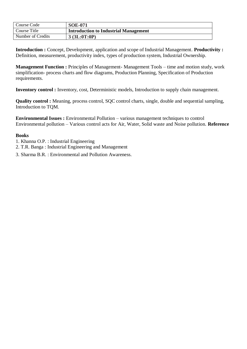| Course Code       | <b>SOE-071</b>                        |
|-------------------|---------------------------------------|
| Course Title      | Introduction to Industrial Management |
| Number of Credits | 3(3L:0T:0P)                           |

**Introduction :** Concept, Development, application and scope of Industrial Management. **Productivity :**  Definition, measurement, productivity index, types of production system, Industrial Ownership.

**Management Function :** Principles of Management- Management Tools – time and motion study, work simplification- process charts and flow diagrams, Production Planning, Specification of Production requirements.

**Inventory control :** Inventory, cost, Deterministic models, Introduction to supply chain management.

**Quality control :** Meaning, process control, SQC control charts, single, double and sequential sampling, Introduction to TQM.

**Environmental Issues :** Environmental Pollution – various management techniques to control Environmental pollution – Various control acts for Air, Water, Solid waste and Noise pollution. **Reference** 

#### **Books**

- 1. Khanna O.P. : Industrial Engineering
- 2. T.R. Banga : Industrial Engineering and Management
- 3. Sharma B.R. : Environmental and Pollution Awareness.